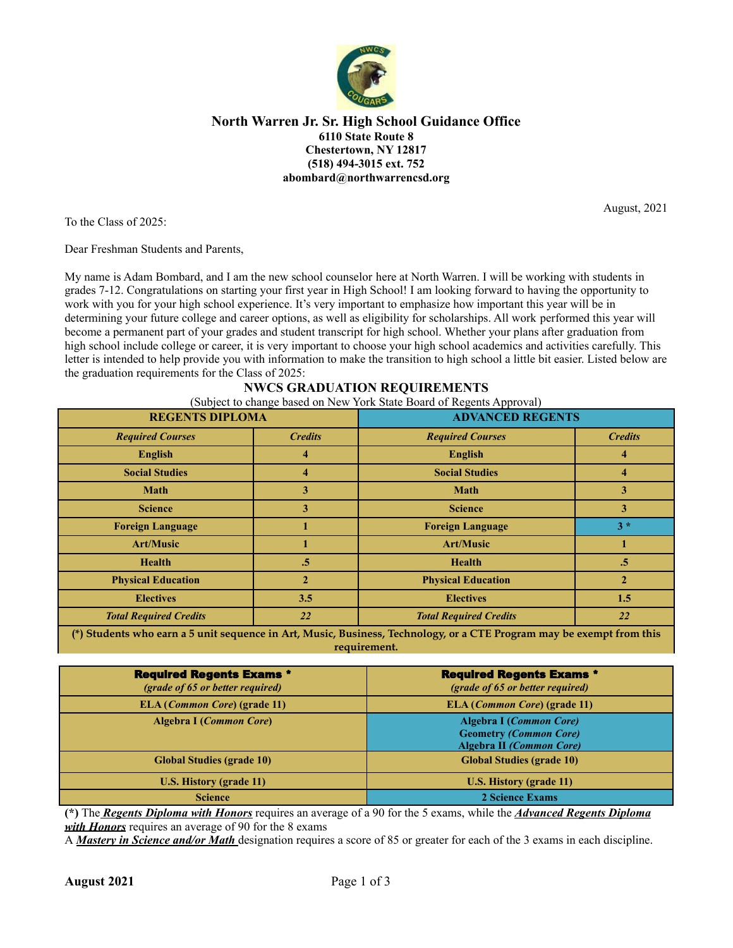

#### **North Warren Jr. Sr. High School Guidance Office 6110 State Route 8 Chestertown, NY 12817 (518) 494-3015 ext. 752 abombard@northwarrencsd.org**

August, 2021

To the Class of 2025:

Dear Freshman Students and Parents,

My name is Adam Bombard, and I am the new school counselor here at North Warren. I will be working with students in grades 7-12. Congratulations on starting your first year in High School! I am looking forward to having the opportunity to work with you for your high school experience. It's very important to emphasize how important this year will be in determining your future college and career options, as well as eligibility for scholarships. All work performed this year will become a permanent part of your grades and student transcript for high school. Whether your plans after graduation from high school include college or career, it is very important to choose your high school academics and activities carefully. This letter is intended to help provide you with information to make the transition to high school a little bit easier. Listed below are the graduation requirements for the Class of 2025:

### **NWCS GRADUATION REQUIREMENTS**

(Subject to change based on New York State Board of Regents Approval)

| <b>REGENTS DIPLOMA</b>                                                                                         |                | <b>ADVANCED REGENTS</b>       |                |  |
|----------------------------------------------------------------------------------------------------------------|----------------|-------------------------------|----------------|--|
| <b>Required Courses</b>                                                                                        | <b>Credits</b> | <b>Required Courses</b>       | <b>Credits</b> |  |
| <b>English</b>                                                                                                 | 4              | <b>English</b>                |                |  |
| <b>Social Studies</b>                                                                                          | 4              | <b>Social Studies</b>         |                |  |
| <b>Math</b>                                                                                                    | 3              | <b>Math</b>                   | 3              |  |
| <b>Science</b>                                                                                                 | 3              | <b>Science</b>                | 3              |  |
| <b>Foreign Language</b>                                                                                        |                | <b>Foreign Language</b>       | $3*$           |  |
| <b>Art/Music</b>                                                                                               |                | <b>Art/Music</b>              |                |  |
| <b>Health</b>                                                                                                  | $.5\,$         | <b>Health</b>                 | .5             |  |
| <b>Physical Education</b>                                                                                      | $\mathbf{2}$   | <b>Physical Education</b>     | $\mathbf{2}$   |  |
| <b>Electives</b>                                                                                               | 3.5            | <b>Electives</b>              | 1.5            |  |
| <b>Total Required Credits</b>                                                                                  | 22             | <b>Total Required Credits</b> | <b>22</b>      |  |
| Address to the contract of the contract of the contract of the contract of the contract of the contract of the |                |                               |                |  |

**(\*) Students who earn a 5 unit sequence in Art, Music, Business, Technology, or a CTE Program may be exempt from this requirement.**

| <b>Required Regents Exams *</b><br>(grade of 65 or better required) | <b>Required Regents Exams *</b><br>(grade of 65 or better required)                         |
|---------------------------------------------------------------------|---------------------------------------------------------------------------------------------|
| ELA ( <i>Common Core</i> ) (grade 11)                               | <b>ELA</b> ( <i>Common Core</i> ) (grade 11)                                                |
| Algebra I (Common Core)                                             | Algebra I (Common Core)<br><b>Geometry (Common Core)</b><br><b>Algebra II (Common Core)</b> |
| <b>Global Studies (grade 10)</b>                                    | <b>Global Studies (grade 10)</b>                                                            |
| U.S. History (grade 11)                                             | U.S. History (grade 11)                                                                     |
| <b>Science</b>                                                      | 2 Science Exams                                                                             |

**(\*)** The *Regents Diploma with Honors* requires an average of a 90 for the 5 exams, while the *Advanced Regents Diploma with Honors* requires an average of 90 for the 8 exams

A *Mastery in Science and/or Math* designation requires a score of 85 or greater for each of the 3 exams in each discipline.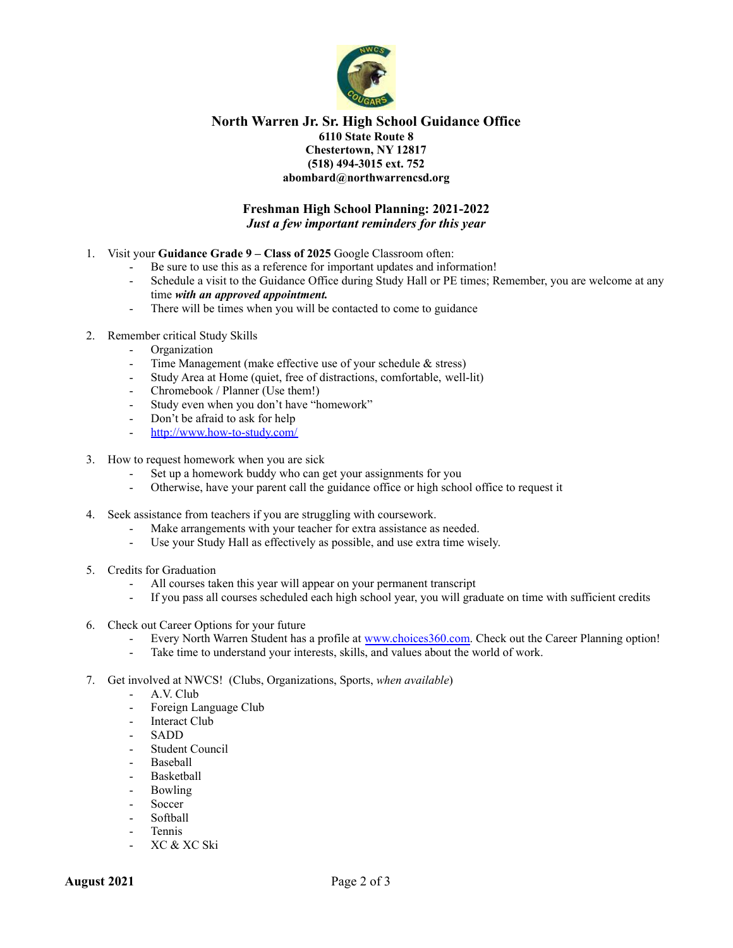

#### **North Warren Jr. Sr. High School Guidance Office 6110 State Route 8 Chestertown, NY 12817 (518) 494-3015 ext. 752 abombard@northwarrencsd.org**

#### **Freshman High School Planning: 2021-2022** *Just a few important reminders for this year*

- 1. Visit your **Guidance Grade 9 – Class of 2025** Google Classroom often:
	- Be sure to use this as a reference for important updates and information!
	- Schedule a visit to the Guidance Office during Study Hall or PE times; Remember, you are welcome at any time *with an approved appointment.*
	- There will be times when you will be contacted to come to guidance
- 2. Remember critical Study Skills
	- Organization
	- Time Management (make effective use of your schedule  $\&$  stress)
	- Study Area at Home (quiet, free of distractions, comfortable, well-lit)
	- Chromebook / Planner (Use them!)
	- Study even when you don't have "homework"
	- Don't be afraid to ask for help
	- <http://www.how-to-study.com/>
- 3. How to request homework when you are sick
	- Set up a homework buddy who can get your assignments for you
	- Otherwise, have your parent call the guidance office or high school office to request it
- 4. Seek assistance from teachers if you are struggling with coursework.
	- Make arrangements with your teacher for extra assistance as needed.
	- Use your Study Hall as effectively as possible, and use extra time wisely.
- 5. Credits for Graduation
	- All courses taken this year will appear on your permanent transcript
	- If you pass all courses scheduled each high school year, you will graduate on time with sufficient credits
- 6. Check out Career Options for your future
	- Every North Warren Student has a profile at [www.choices360.com.](http://www.choices360.com) Check out the Career Planning option!
	- Take time to understand your interests, skills, and values about the world of work.
- 7. Get involved at NWCS! (Clubs, Organizations, Sports, *when available*)
	- A.V. Club
	- Foreign Language Club
	- Interact Club
	- SADD
	- Student Council
	- Baseball
	- **Basketball**
	- Bowling
	- Soccer
	- Softball
	- **Tennis**
	- XC & XC Ski